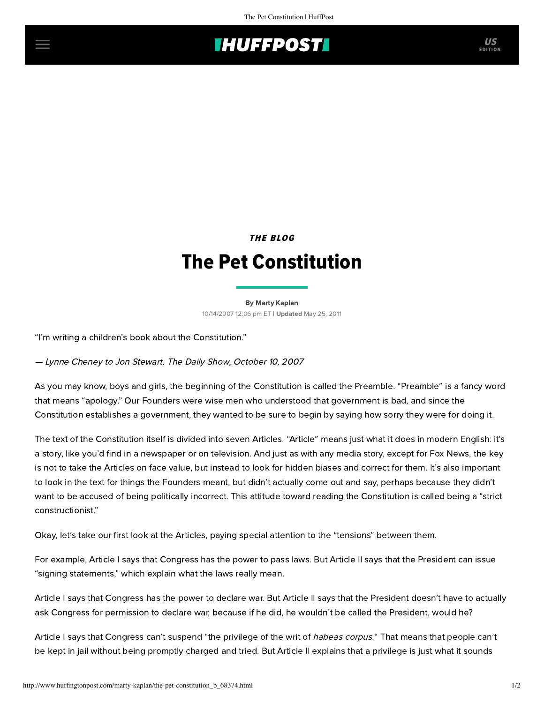## **THUFFPOSTI** US

THE BLOG

## The Pet Constitution

[By Marty Kaplan](http://www.huffingtonpost.com/author/marty-kaplan) 10/14/2007 12:06 pm ET | Updated May 25, 2011

"I'm writing a children's book about the Constitution."

— Lynne Cheney to Jon Stewart, The Daily Show, October 10, 2007

As you may know, boys and girls, the beginning of the Constitution is called the Preamble. "Preamble" is a fancy word that means "apology." Our Founders were wise men who understood that government is bad, and since the Constitution establishes a government, they wanted to be sure to begin by saying how sorry they were for doing it.

The text of the Constitution itself is divided into seven Articles. "Article" means just what it does in modern English: it's a story, like you'd find in a newspaper or on television. And just as with any media story, except for Fox News, the key is not to take the Articles on face value, but instead to look for hidden biases and correct for them. It's also important to look in the text for things the Founders meant, but didn't actually come out and say, perhaps because they didn't want to be accused of being politically incorrect. This attitude toward reading the Constitution is called being a "strict constructionist."

Okay, let's take our first look at the Articles, paying special attention to the "tensions" between them.

For example, Article I says that Congress has the power to pass laws. But Article II says that the President can issue "signing statements," which explain what the laws really mean.

Article I says that Congress has the power to declare war. But Article II says that the President doesn't have to actually ask Congress for permission to declare war, because if he did, he wouldn't be called the President, would he?

Article I says that Congress can't suspend "the privilege of the writ of habeas corpus." That means that people can't be kept in jail without being promptly charged and tried. But Article II explains that a privilege is just what it sounds